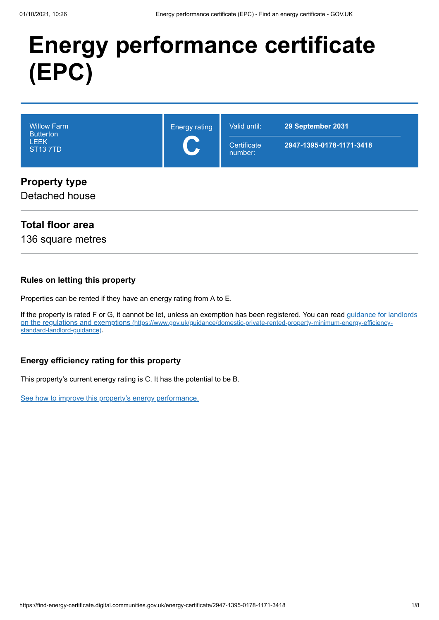# **Energy performance certificate (EPC)**

| <b>Willow Farm</b><br><b>Butterton</b><br><b>LEEK</b><br><b>ST137TD</b> | <b>Energy rating</b><br>$\mathbf C$ | Valid until:<br>Certificate<br>number: | 29 September 2031<br>2947-1395-0178-1171-3418 |
|-------------------------------------------------------------------------|-------------------------------------|----------------------------------------|-----------------------------------------------|
| <b>Property type</b><br>Detached house                                  |                                     |                                        |                                               |

## **Total floor area**

136 square metres

#### **Rules on letting this property**

Properties can be rented if they have an energy rating from A to E.

[If the property is rated F or G, it cannot be let, unless an exemption has been registered. You can read guidance for landlords](https://www.gov.uk/guidance/domestic-private-rented-property-minimum-energy-efficiency-standard-landlord-guidance) on the regulations and exemptions (https://www.gov.uk/guidance/domestic-private-rented-property-minimum-energy-efficiencystandard-landlord-guidance).

#### **Energy efficiency rating for this property**

This property's current energy rating is C. It has the potential to be B.

[See how to improve this property's energy performance.](#page-4-0)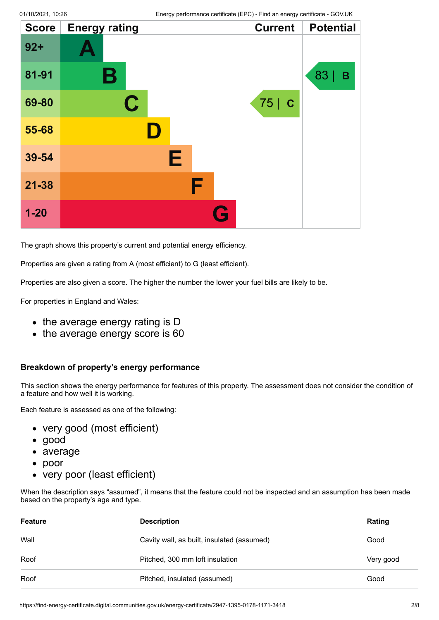| <b>Score</b> | <b>Energy rating</b> |   | <b>Current</b> | <b>Potential</b> |
|--------------|----------------------|---|----------------|------------------|
| $92 +$       |                      |   |                |                  |
| 81-91        | Β                    |   |                | 83<br>B          |
| 69-80        | $\mathbf C$          |   | 75   C         |                  |
| 55-68        | D                    |   |                |                  |
| 39-54        | Е                    |   |                |                  |
| $21 - 38$    | F                    |   |                |                  |
| $1 - 20$     |                      | G |                |                  |

The graph shows this property's current and potential energy efficiency.

Properties are given a rating from A (most efficient) to G (least efficient).

Properties are also given a score. The higher the number the lower your fuel bills are likely to be.

For properties in England and Wales:

- the average energy rating is D
- the average energy score is 60

#### **Breakdown of property's energy performance**

This section shows the energy performance for features of this property. The assessment does not consider the condition of a feature and how well it is working.

Each feature is assessed as one of the following:

- very good (most efficient)
- good
- average
- poor  $\bullet$
- very poor (least efficient)

When the description says "assumed", it means that the feature could not be inspected and an assumption has been made based on the property's age and type.

| <b>Feature</b> | <b>Description</b>                         | Rating    |
|----------------|--------------------------------------------|-----------|
| Wall           | Cavity wall, as built, insulated (assumed) | Good      |
| Roof           | Pitched, 300 mm loft insulation            | Very good |
| Roof           | Pitched, insulated (assumed)               | Good      |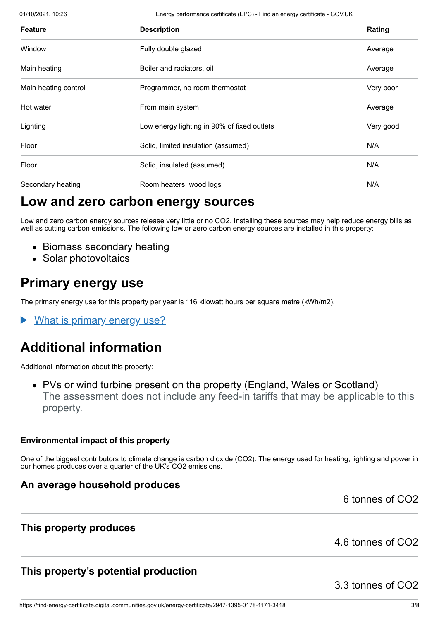01/10/2021, 10:26 Energy performance certificate (EPC) - Find an energy certificate - GOV.UK

| <b>Feature</b>       | <b>Description</b>                          | Rating    |
|----------------------|---------------------------------------------|-----------|
| Window               | Fully double glazed                         | Average   |
| Main heating         | Boiler and radiators, oil                   | Average   |
| Main heating control | Programmer, no room thermostat              | Very poor |
| Hot water            | From main system                            | Average   |
| Lighting             | Low energy lighting in 90% of fixed outlets | Very good |
| Floor                | Solid, limited insulation (assumed)         | N/A       |
| Floor                | Solid, insulated (assumed)                  | N/A       |
| Secondary heating    | Room heaters, wood logs                     | N/A       |

## **Low and zero carbon energy sources**

Low and zero carbon energy sources release very little or no CO2. Installing these sources may help reduce energy bills as well as cutting carbon emissions. The following low or zero carbon energy sources are installed in this property:

- Biomass secondary heating
- Solar photovoltaics

# **Primary energy use**

The primary energy use for this property per year is 116 kilowatt hours per square metre (kWh/m2).

What is primary energy use?

# **Additional information**

Additional information about this property:

• PVs or wind turbine present on the property (England, Wales or Scotland) The assessment does not include any feed-in tariffs that may be applicable to this property.

#### **Environmental impact of this property**

One of the biggest contributors to climate change is carbon dioxide (CO2). The energy used for heating, lighting and power in our homes produces over a quarter of the UK's CO2 emissions.

## **An average household produces**

6 tonnes of CO2

## **This property produces**

## **This property's potential production**

3.3 tonnes of CO2

4.6 tonnes of CO2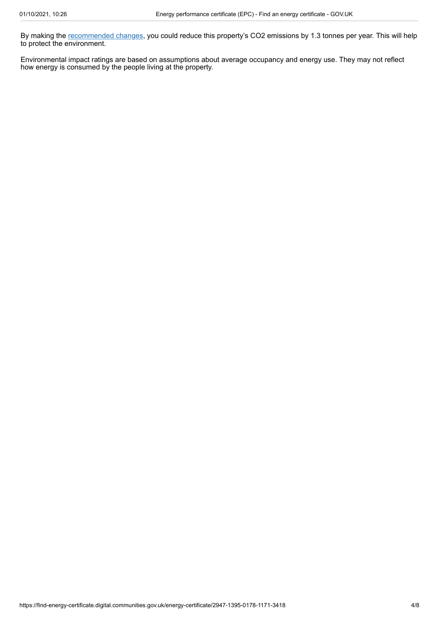By making the [recommended changes](#page-4-0), you could reduce this property's CO2 emissions by 1.3 tonnes per year. This will help to protect the environment.

Environmental impact ratings are based on assumptions about average occupancy and energy use. They may not reflect how energy is consumed by the people living at the property.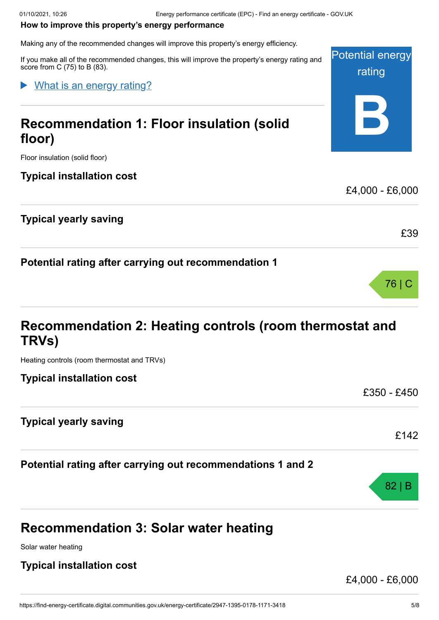#### <span id="page-4-0"></span>**How to improve this property's energy performance**

Making any of the recommended changes will improve this property's energy efficiency.

Potential energy rating **B** If you make all of the recommended changes, this will improve the property's energy rating and score from C (75) to B (83). **Recommendation 1: Floor insulation (solid floor)** Floor insulation (solid floor) **Typical installation cost** £4,000 - £6,000 **Typical yearly saving** £39 What is an energy rating?

## **Potential rating after carrying out recommendation 1**

| Recommendation 2: Heating controls (room thermostat and |  |
|---------------------------------------------------------|--|
| TRVs)                                                   |  |

Heating controls (room thermostat and TRVs)

## **Typical installation cost**

| Potential rating after carrying out recommendations 1 and 2 |               |  |
|-------------------------------------------------------------|---------------|--|
| <b>Typical yearly saving</b>                                | £142          |  |
|                                                             |               |  |
|                                                             | . LJOU - L4OU |  |

# **Recommendation 3: Solar water heating**

Solar water heating

#### **Typical installation cost**

£4,000 - £6,000

76 | C

 $\overline{0}$ 

82 | B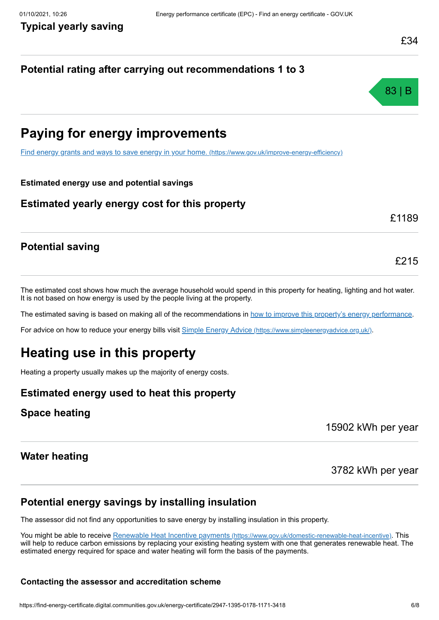## **Potential rating after carrying out recommendations 1 to 3**



# **Paying for energy improvements**

[Find energy grants and ways to save energy in your home.](https://www.gov.uk/improve-energy-efficiency) (https://www.gov.uk/improve-energy-efficiency)

#### **Estimated energy use and potential savings**

#### **Estimated yearly energy cost for this property**

£1189

£215

## **Potential saving**

The estimated cost shows how much the average household would spend in this property for heating, lighting and hot water. It is not based on how energy is used by the people living at the property.

The estimated saving is based on making all of the recommendations in [how to improve this property's energy performance.](#page-4-0)

For advice on how to reduce your energy bills visit Simple Energy Advice [\(https://www.simpleenergyadvice.org.uk/\)](https://www.simpleenergyadvice.org.uk/).

# **Heating use in this property**

Heating a property usually makes up the majority of energy costs.

## **Estimated energy used to heat this property**

#### **Space heating**

15902 kWh per year

## **Water heating**

3782 kWh per year

## **Potential energy savings by installing insulation**

The assessor did not find any opportunities to save energy by installing insulation in this property.

You might be able to receive Renewable Heat Incentive payments [\(https://www.gov.uk/domestic-renewable-heat-incentive\)](https://www.gov.uk/domestic-renewable-heat-incentive). This will help to reduce carbon emissions by replacing your existing heating system with one that generates renewable heat. The estimated energy required for space and water heating will form the basis of the payments.

#### **Contacting the assessor and accreditation scheme**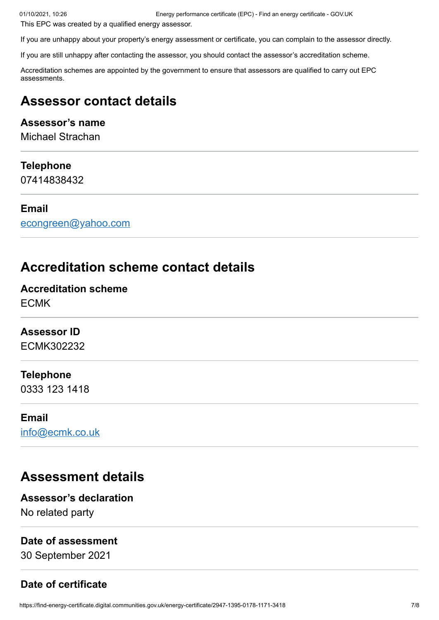This EPC was created by a qualified energy assessor.

If you are unhappy about your property's energy assessment or certificate, you can complain to the assessor directly.

If you are still unhappy after contacting the assessor, you should contact the assessor's accreditation scheme.

Accreditation schemes are appointed by the government to ensure that assessors are qualified to carry out EPC assessments.

## **Assessor contact details**

#### **Assessor's name**

Michael Strachan

#### **Telephone**

07414838432

#### **Email**

[econgreen@yahoo.com](mailto:econgreen@yahoo.com)

## **Accreditation scheme contact details**

**Accreditation scheme** ECMK

#### **Assessor ID**

ECMK302232

## **Telephone**

0333 123 1418

#### **Email**

[info@ecmk.co.uk](mailto:info@ecmk.co.uk)

## **Assessment details**

#### **Assessor's declaration**

No related party

#### **Date of assessment**

30 September 2021

## **Date of certificate**